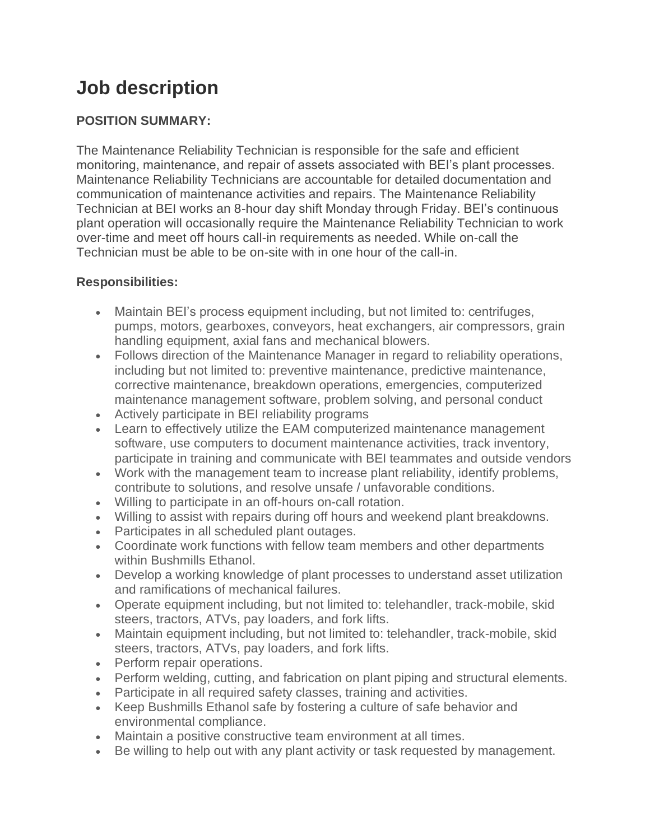# **Job description**

## **POSITION SUMMARY:**

The Maintenance Reliability Technician is responsible for the safe and efficient monitoring, maintenance, and repair of assets associated with BEI's plant processes. Maintenance Reliability Technicians are accountable for detailed documentation and communication of maintenance activities and repairs. The Maintenance Reliability Technician at BEI works an 8-hour day shift Monday through Friday. BEI's continuous plant operation will occasionally require the Maintenance Reliability Technician to work over-time and meet off hours call-in requirements as needed. While on-call the Technician must be able to be on-site with in one hour of the call-in.

### **Responsibilities:**

- Maintain BEI's process equipment including, but not limited to: centrifuges, pumps, motors, gearboxes, conveyors, heat exchangers, air compressors, grain handling equipment, axial fans and mechanical blowers.
- Follows direction of the Maintenance Manager in regard to reliability operations, including but not limited to: preventive maintenance, predictive maintenance, corrective maintenance, breakdown operations, emergencies, computerized maintenance management software, problem solving, and personal conduct
- Actively participate in BEI reliability programs
- Learn to effectively utilize the EAM computerized maintenance management software, use computers to document maintenance activities, track inventory, participate in training and communicate with BEI teammates and outside vendors
- Work with the management team to increase plant reliability, identify problems, contribute to solutions, and resolve unsafe / unfavorable conditions.
- Willing to participate in an off-hours on-call rotation.
- Willing to assist with repairs during off hours and weekend plant breakdowns.
- Participates in all scheduled plant outages.
- Coordinate work functions with fellow team members and other departments within Bushmills Ethanol.
- Develop a working knowledge of plant processes to understand asset utilization and ramifications of mechanical failures.
- Operate equipment including, but not limited to: telehandler, track-mobile, skid steers, tractors, ATVs, pay loaders, and fork lifts.
- Maintain equipment including, but not limited to: telehandler, track-mobile, skid steers, tractors, ATVs, pay loaders, and fork lifts.
- Perform repair operations.
- Perform welding, cutting, and fabrication on plant piping and structural elements.
- Participate in all required safety classes, training and activities.
- Keep Bushmills Ethanol safe by fostering a culture of safe behavior and environmental compliance.
- Maintain a positive constructive team environment at all times.
- Be willing to help out with any plant activity or task requested by management.